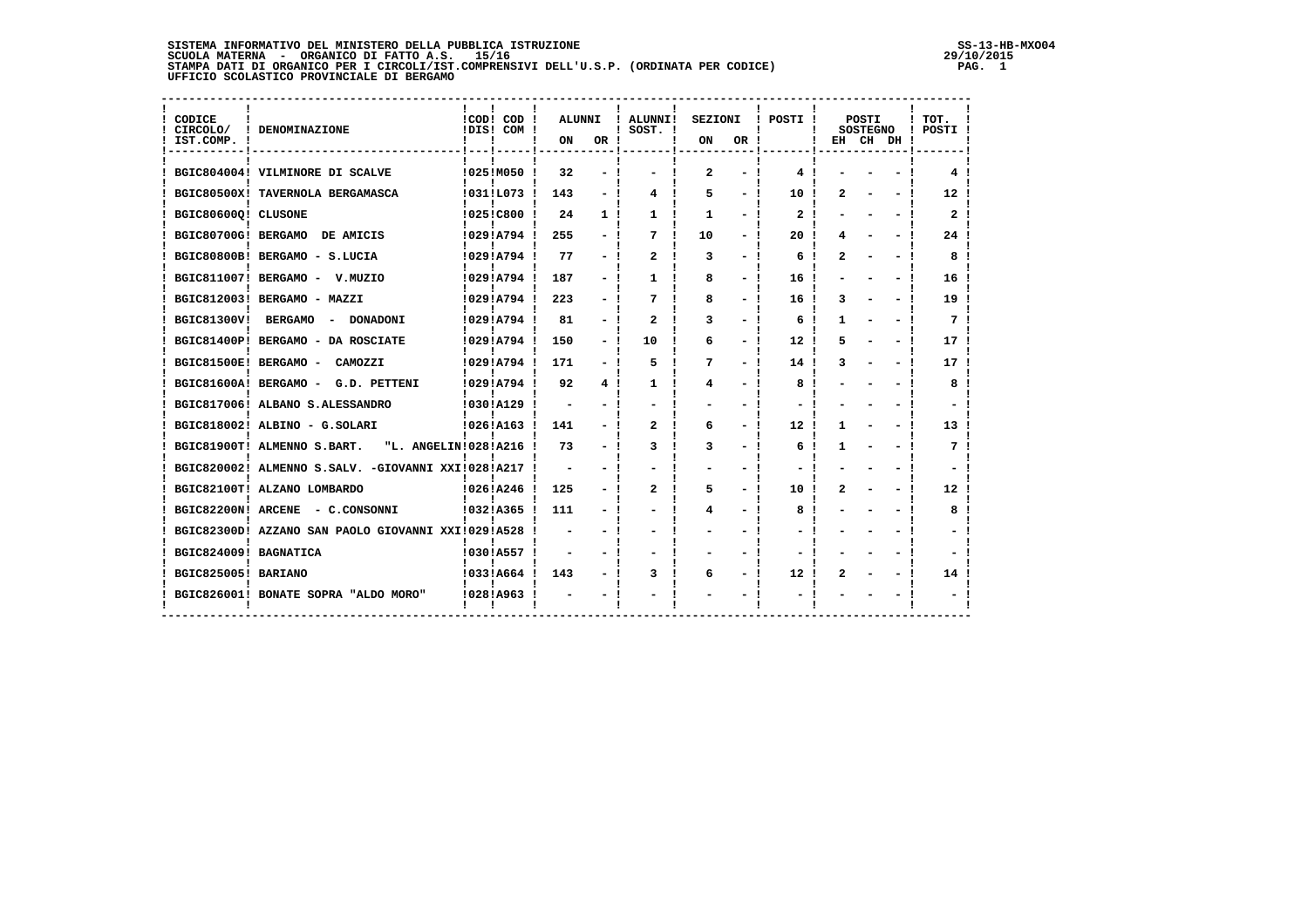**SISTEMA INFORMATIVO DEL MINISTERO DELLA PUBBLICA ISTRUZIONE SS-13-HB-MXO04**SCUOLA MATERNA - ORGANICO DI FATTO A.S. 15/16<br>STAMPA DATI DI ORGANICO PER I CIRCOLI/IST.COMPRENSIVI DELL'U.S.P. (ORDINATA PER CODICE) **PAG. 1**<br>UFFICIO SCOLASTICO PROVINCIALE DI BERGAMO

 $29/10/2015$ <br>PAG. 1

| CIRCOLO/<br>IST.COMP. | ! DENOMINAZIONE                                       | !COD! COD<br>IDIS! COM ! | <b>ALUNNI</b><br>ON      | OR !                     | ! ALUNNI!<br>$!$ SOST. $!$ | <b>SEZIONI</b><br>ON | OR. | ! POSTI !        |   | <b>POSTI</b><br><b>SOSTEGNO</b> | EH CH DH ! | ! TOT<br>! POSTI ! |
|-----------------------|-------------------------------------------------------|--------------------------|--------------------------|--------------------------|----------------------------|----------------------|-----|------------------|---|---------------------------------|------------|--------------------|
|                       | BGIC804004! VILMINORE DI SCALVE                       | !025!M050!               | 32                       |                          |                            | 2                    |     | 4                |   |                                 |            |                    |
|                       | BGIC80500X! TAVERNOLA BERGAMASCA                      | !031!L073 !              | 143                      |                          | 4                          | 5                    |     | 10               |   |                                 |            | 12                 |
| BGIC80600Q! CLUSONE   |                                                       | !025!C800 !              | 24                       | 1.                       | 1                          | 1                    |     | $\mathbf{2}$     |   |                                 |            | 2 <sup>1</sup>     |
| BGIC80700G! BERGAMO   | DE AMICIS                                             | !029!A794!               | 255                      |                          | 7                          | 10                   |     | 20               |   |                                 |            | 24                 |
|                       | BGIC80800B! BERGAMO - S.LUCIA                         | !029!A794!               | 77                       |                          | 2                          | 3                    |     | 6                | 2 |                                 |            | 8                  |
|                       | BGIC811007! BERGAMO - V.MUZIO                         | !029!A794!               | 187                      |                          | 1                          | 8                    |     | 16               |   |                                 |            | 16                 |
|                       | BGIC812003! BERGAMO - MAZZI                           | 10291A794 J              | 223                      |                          | 7                          | 8                    |     | 16               | 3 |                                 |            | 19                 |
| BGIC81300V!           | <b>BERGAMO</b><br><b>DONADONI</b><br>$\sim$           | !029!A794 !              | 81                       |                          | 2                          | 3                    |     | 6                | 1 |                                 |            | 7                  |
|                       | BGIC81400P! BERGAMO - DA ROSCIATE                     | !029!A794 !              | 150                      |                          | 10                         | 6                    |     | 12 <sup>2</sup>  | 5 |                                 |            | 17 <sub>1</sub>    |
| BGIC81500E! BERGAMO - | CAMOZZI                                               | 10291A794                | 171                      | $\overline{\phantom{0}}$ | 5                          | 7                    | -   | 14               |   |                                 |            | 17                 |
|                       | BGIC81600A! BERGAMO -<br>G.D. PETTENI                 | 10291A794                | 92                       | 4                        | 1                          | 4                    |     | 8                |   |                                 |            | 8                  |
|                       | BGIC817006! ALBANO S.ALESSANDRO                       | 1030!A129                | $\overline{\phantom{0}}$ |                          |                            |                      |     |                  |   |                                 |            |                    |
|                       | BGIC818002! ALBINO - G.SOLARI                         | !026!A163 !              | 141                      |                          | $\overline{a}$             | 6                    |     | 12               |   |                                 |            | 13                 |
|                       | BGIC81900T! ALMENNO S.BART.<br>"L. ANGELIN!028!A216 ! |                          | 73                       |                          | 3                          | 3                    |     | 6                | 1 |                                 |            | 7                  |
|                       | BGIC820002! ALMENNO S.SALV. -GIOVANNI XXI!028!A217    |                          |                          |                          |                            |                      |     |                  |   |                                 |            |                    |
|                       | BGIC82100T! ALZANO LOMBARDO                           | 10261A246                | 125                      |                          | 2                          | 5                    |     | 10               | 2 |                                 |            | 12                 |
|                       | BGIC82200N! ARCENE - C.CONSONNI                       | 10321A365                | 111                      |                          |                            | 4                    |     | 8                |   |                                 |            | 8                  |
|                       | BGIC82300D! AZZANO SAN PAOLO GIOVANNI XXI!029!A528    |                          |                          |                          |                            |                      |     |                  |   |                                 |            |                    |
| BGIC824009! BAGNATICA |                                                       | !030!A557                |                          |                          |                            |                      |     |                  |   |                                 |            |                    |
| BGIC825005! BARIANO   |                                                       | 10331A664 1              | 143                      |                          | 3                          | 6                    |     | 12 <sup>12</sup> | 2 |                                 |            | 14                 |
|                       | BGIC826001! BONATE SOPRA "ALDO MORO"                  | 10281A963                |                          |                          |                            |                      |     |                  |   |                                 |            |                    |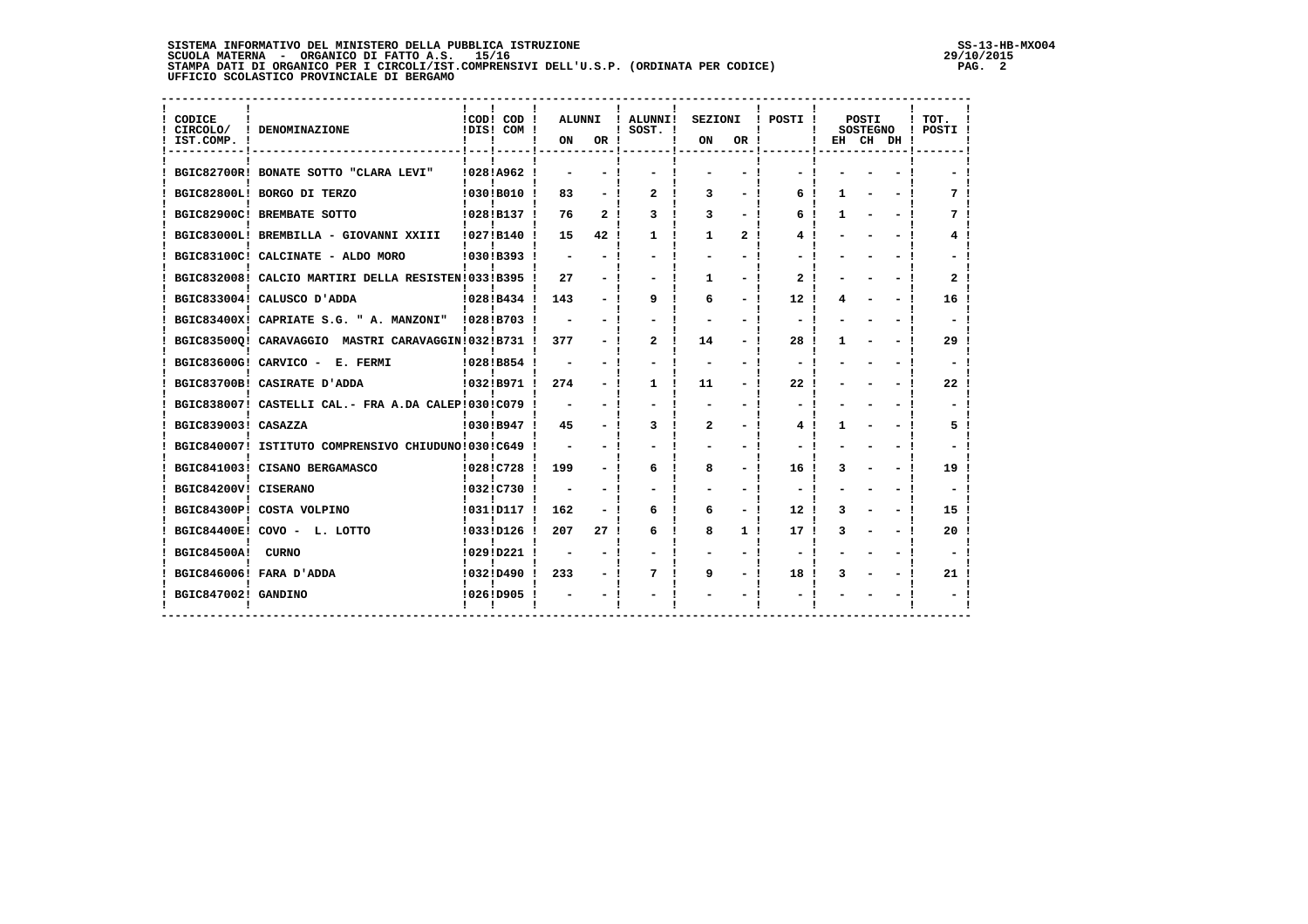**SISTEMA INFORMATIVO DEL MINISTERO DELLA PUBBLICA ISTRUZIONE SS-13-HB-MXO04**SCUOLA MATERNA - ORGANICO DI FATTO A.S. 15/16<br>STAMPA DATI DI ORGANICO PER I CIRCOLI/IST.COMPRENSIVI DELL'U.S.P. (ORDINATA PER CODICE) PAG. 2<br>UFFICIO SCOLASTICO PROVINCIALE DI BERGAMO

| CODICE<br>CIRCOLO/<br>IST.COMP. ! | ! DENOMINAZIONE                                      | !COD! COD !<br>!DIS! COM ! | ALUNNI<br>ON | OR !           | ! ALUNNI!<br>$!$ SOST. $!$ | SEZIONI<br>ON | OR !           | POSTI !           | POSTI<br><b>SOSTEGNO</b> | EH CH DH! | тот.<br>POSTI ! |
|-----------------------------------|------------------------------------------------------|----------------------------|--------------|----------------|----------------------------|---------------|----------------|-------------------|--------------------------|-----------|-----------------|
|                                   | BGIC82700R! BONATE SOTTO "CLARA LEVI"                | !028!A962!                 |              |                |                            |               |                |                   |                          |           |                 |
|                                   | BGIC82800L! BORGO DI TERZO                           | 10301B010 !                | 83           |                | 2                          | 3             |                | Ƙ.                |                          |           |                 |
|                                   | BGIC82900C! BREMBATE SOTTO                           | !028!B137 !                | 76           | 2 <sub>1</sub> | 3                          | 3             |                | 6                 |                          |           |                 |
|                                   | BGIC83000L! BREMBILLA - GIOVANNI XXIII               | 10271B140 1                | 15           | 42!            | 1                          | 1             | 2              | 4                 |                          |           |                 |
|                                   | BGIC83100C! CALCINATE - ALDO MORO                    | 10301B393 1                |              |                |                            |               |                |                   |                          |           |                 |
|                                   | BGIC832008! CALCIO MARTIRI DELLA RESISTEN!033!B395 ! |                            | 27           |                |                            | 1.            |                | 2                 |                          |           |                 |
|                                   | BGIC833004! CALUSCO D'ADDA                           | !028!B434!                 | 143          |                | 9                          | 6             |                | 12                |                          |           | 16              |
|                                   | BGIC83400X! CAPRIATE S.G. " A. MANZONI"              | 10281B703                  |              |                |                            |               |                |                   |                          |           |                 |
|                                   | BGIC835000! CARAVAGGIO MASTRI CARAVAGGIN!032!B731 !  |                            | 377          |                | 2                          | 14            |                | 28                |                          |           | 29              |
|                                   | BGIC83600G! CARVICO - E. FERMI                       | 10281B854                  |              |                |                            |               |                |                   |                          |           |                 |
|                                   | BGIC83700B! CASIRATE D'ADDA                          | !032!B971 !                | 274          |                | 1.                         | 11            |                | 22                |                          |           | 22              |
|                                   | BGIC838007! CASTELLI CAL.- FRA A.DA CALEP!030!C079   |                            |              |                |                            |               |                |                   |                          |           |                 |
| BGIC839003! CASAZZA               |                                                      | 10301B947 1                | 45           |                | ٦                          | $\mathbf{2}$  |                |                   |                          |           |                 |
|                                   | BGIC840007! ISTITUTO COMPRENSIVO CHIUDUNO!030!C649   |                            |              |                |                            |               |                |                   |                          |           |                 |
|                                   | BGIC841003! CISANO BERGAMASCO                        | !028!C728!                 | 199          |                | 6                          | 8             |                | 16                |                          |           | 19              |
| BGIC84200V! CISERANO              |                                                      | !032!C730!                 |              |                |                            |               |                |                   |                          |           |                 |
|                                   | BGIC84300P! COSTA VOLPINO                            | !031!D117 !                | 162          |                | 6                          | 6             |                | $12 \overline{ }$ |                          |           | 15              |
|                                   | BGIC84400E! COVO - L. LOTTO                          | !033!D126 !                | 207          | 27 !           | 6                          | 8             | 1 <sub>1</sub> | 17                |                          |           | 20              |
| <b>BGIC84500A!</b>                | CURNO                                                | !029!D221 !                |              |                |                            |               |                |                   |                          |           |                 |
|                                   | BGIC846006! FARA D'ADDA                              | $10321D490$ !              | 233          |                | 7                          | 9             |                | 18                |                          |           | 21              |
| BGIC847002! GANDINO               |                                                      | !026!D905                  |              |                |                            |               |                |                   |                          |           |                 |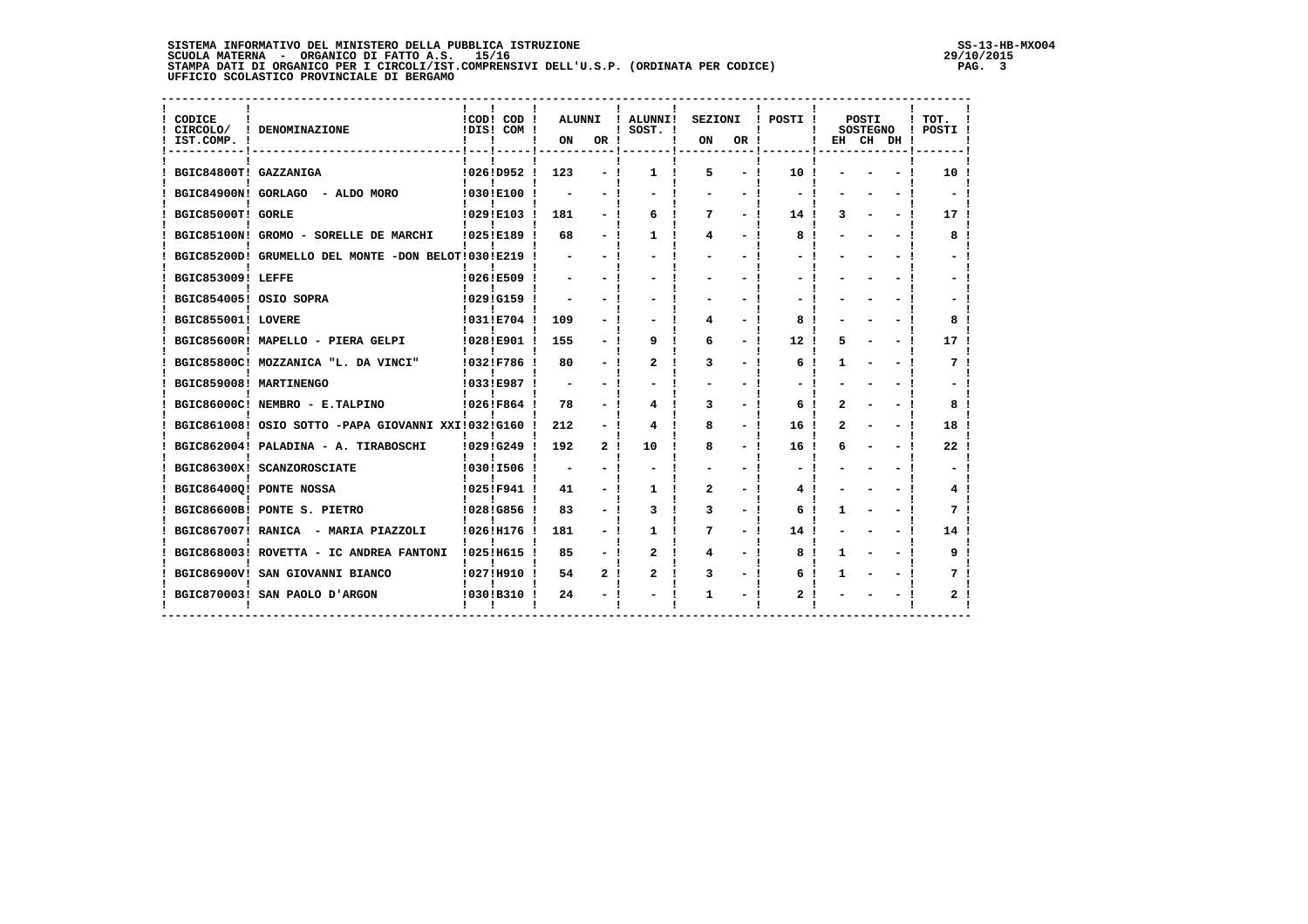**SISTEMA INFORMATIVO DEL MINISTERO DELLA PUBBLICA ISTRUZIONE SS-13-HB-MXO04**SCUOLA MATERNA - ORGANICO DI FATTO A.S. 15/16<br>STAMPA DATI DI ORGANICO PER I CIRCOLI/IST.COMPRENSIVI DELL'U.S.P. (ORDINATA PER CODICE) PAG. 3<br>UFFICIO SCOLASTICO PROVINCIALE DI BERGAMO

| CODICE<br>CIRCOLO/<br>IST.COMP. ! | ! DENOMINAZIONE                                      | ICOD! COD!<br>IDIS! COM ! | ALUNNI<br>ON             | OR ! | ! ALUNNI!<br>$!$ SOST. $!$ | SEZIONI<br>ON | OR ! | POSTI !         | POSTI<br><b>SOSTEGNO</b><br>EH CH DH! | TOT.<br>! POSTI ! |
|-----------------------------------|------------------------------------------------------|---------------------------|--------------------------|------|----------------------------|---------------|------|-----------------|---------------------------------------|-------------------|
| BGIC84800T! GAZZANIGA             |                                                      | $10261D952$ !             | 123                      |      | 1.                         | 5             |      | 10 !            |                                       | 10                |
|                                   | BGIC84900N! GORLAGO - ALDO MORO                      | !030!E100                 |                          |      |                            |               |      |                 |                                       |                   |
| BGIC85000T! GORLE                 |                                                      | !029!E103 !               | 181                      |      | 6                          | 7             |      | 14 !            |                                       | 17                |
|                                   | BGIC85100N! GROMO - SORELLE DE MARCHI                | !025!E189 !               | 68                       |      | 1                          | 4             |      | 8               |                                       | 8                 |
|                                   | BGIC85200D! GRUMELLO DEL MONTE -DON BELOT!030!E219   |                           |                          |      |                            |               |      |                 |                                       |                   |
| BGIC853009! LEFFE                 |                                                      | !026!E509                 |                          |      |                            |               |      |                 |                                       |                   |
|                                   | BGIC854005! OSIO SOPRA                               | !029!G159 !               |                          |      |                            |               |      |                 |                                       |                   |
| BGIC855001! LOVERE                |                                                      | !031!E704                 | 109                      |      |                            | 4             |      | 8               |                                       |                   |
|                                   | BGIC85600R! MAPELLO - PIERA GELPI                    | !028!E901 !               | 155                      |      | 9                          | 6             |      | 12              |                                       | 17                |
|                                   | BGIC85800C! MOZZANICA "L. DA VINCI"                  | !032!F786                 | 80                       |      | 2                          | 3             |      | 6               |                                       |                   |
| BGIC859008! MARTINENGO            |                                                      | 10331E987                 | $\overline{\phantom{0}}$ |      |                            |               |      |                 |                                       |                   |
|                                   | BGIC86000C! NEMBRO - E.TALPINO                       | !026!F864!                | 78                       |      | 4                          | 3             |      | 6               |                                       |                   |
|                                   | BGIC861008! OSIO SOTTO -PAPA GIOVANNI XXI!032!G160 ! |                           | 212                      |      |                            | 8             |      | 16              |                                       | 18                |
|                                   | BGIC862004! PALADINA - A. TIRABOSCHI                 | 10291G249 1               | 192                      | 2    | 10                         | 8             |      | 16              |                                       | 22                |
|                                   | BGIC86300X! SCANZOROSCIATE                           | !030!I506 !               |                          |      |                            |               |      |                 |                                       |                   |
|                                   | BGIC864000! PONTE NOSSA                              | !025!F941 !               | 41                       |      | 1                          | 2             |      | 4               |                                       |                   |
|                                   | BGIC86600B! PONTE S. PIETRO                          | !028!G856 !               | 83                       |      | 3                          | 3             |      | 6               |                                       |                   |
|                                   | BGIC867007! RANICA - MARIA PIAZZOLI                  | !026!H176 !               | 181                      |      | 1                          | 7             |      | 14 <sub>1</sub> |                                       | 14                |
|                                   | BGIC868003! ROVETTA - IC ANDREA FANTONI              | ! 025! H615!              | 85                       |      | $\mathbf{2}$               | 4             |      | 8               |                                       | 9                 |
|                                   | BGIC86900V! SAN GIOVANNI BIANCO                      | !027!H910 !               | 54                       | 2    | 2                          | 3             |      | 6               |                                       |                   |
|                                   | BGIC870003! SAN PAOLO D'ARGON                        | 10301B310 1               | 24                       |      |                            |               |      |                 |                                       |                   |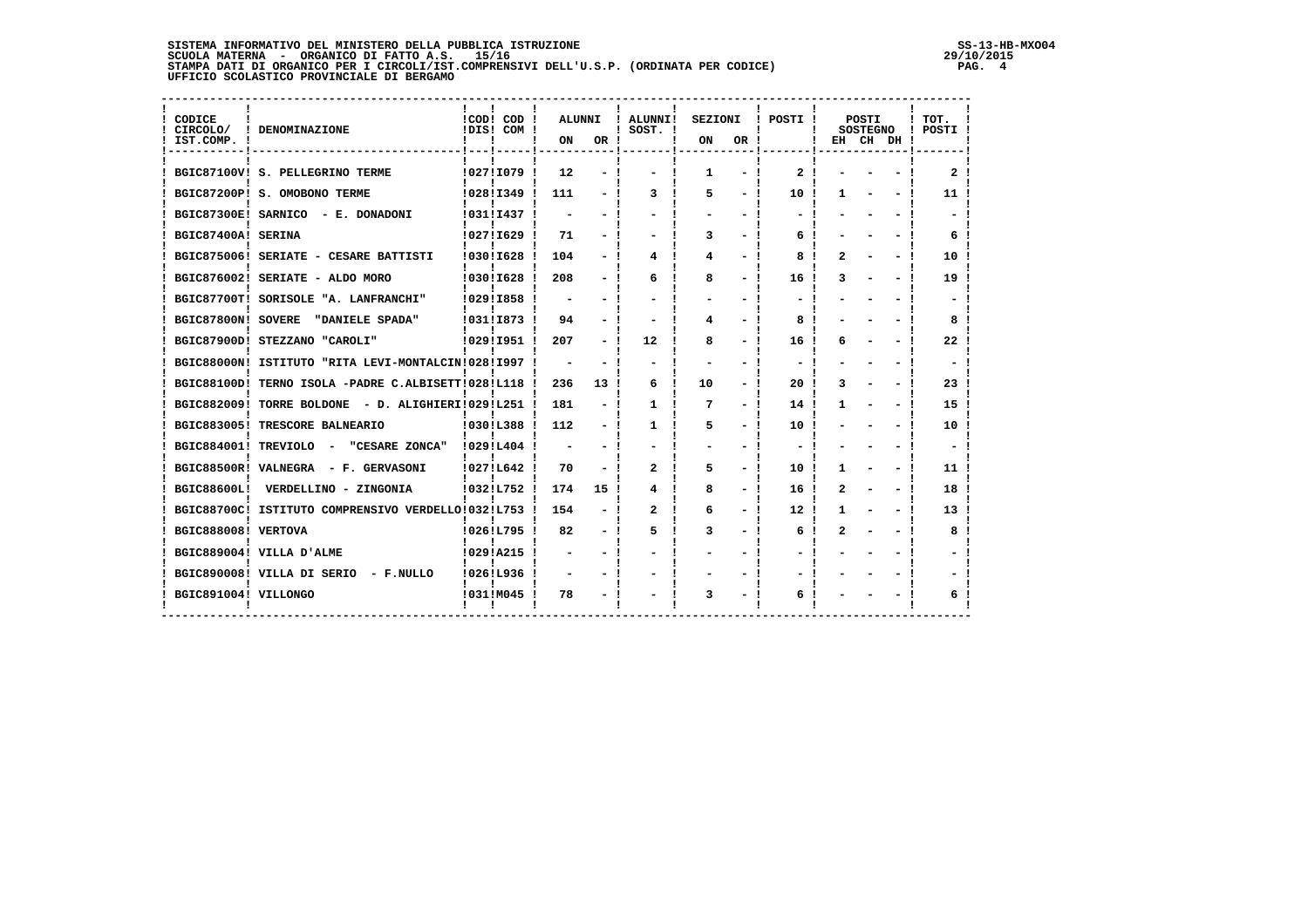**SISTEMA INFORMATIVO DEL MINISTERO DELLA PUBBLICA ISTRUZIONE SS-13-HB-MXO04**SCUOLA MATERNA - ORGANICO DI FATTO A.S. 15/16<br>STAMPA DATI DI ORGANICO PER I CIRCOLI/IST.COMPRENSIVI DELL'U.S.P. (ORDINATA PER CODICE) PAG. 4<br>UFFICIO SCOLASTICO PROVINCIALE DI BERGAMO

| CODICE<br>CIRCOLO/<br>IST.COMP. ! | ! DENOMINAZIONE                                    | !COD! COD !<br>!DIS! COM ! | <b>ALUNNI</b><br>ON | OR ! | <b>ALUNNI!</b><br>$!$ SOST. $!$ | <b>SEZIONI</b><br>ON | OR. | ! POSTI !         |   | POSTI<br><b>SOSTEGNO</b><br>EH CH DH! | TOT.<br>! POSTI ! |
|-----------------------------------|----------------------------------------------------|----------------------------|---------------------|------|---------------------------------|----------------------|-----|-------------------|---|---------------------------------------|-------------------|
|                                   | BGIC87100V! S. PELLEGRINO TERME                    | !027!I079!                 | 12                  |      |                                 | Π.                   |     | 2                 |   |                                       | 2                 |
|                                   | BGIC87200P! S. OMOBONO TERME                       | !028!I349                  | 111                 |      | 3                               | 5                    |     | 10                |   |                                       | 11 -              |
|                                   | BGIC87300E! SARNICO - E. DONADONI                  | !031!I437                  |                     |      |                                 |                      |     |                   |   |                                       |                   |
| BGIC87400A! SERINA                |                                                    | !027!I629                  | 71                  |      |                                 | 3                    |     | 6                 |   |                                       |                   |
|                                   | BGIC875006! SERIATE - CESARE BATTISTI              | 1030!I628                  | 104                 |      | 4                               | 4                    |     | 8                 | 2 |                                       | 10                |
|                                   | BGIC876002! SERIATE - ALDO MORO                    | !030!I628                  | 208                 |      | 6                               | 8                    |     | 16                |   |                                       | 19                |
|                                   | BGIC87700T! SORISOLE "A. LANFRANCHI"               | !029!I858                  |                     |      |                                 |                      |     |                   |   |                                       |                   |
| BGIC87800N! SOVERE                | "DANIELE SPADA"                                    | !031!I873                  | 94                  |      |                                 | 4                    |     | 8                 |   |                                       | 8                 |
|                                   | BGIC87900D! STEZZANO "CAROLI"                      | !029!I951                  | 207                 |      | 12                              | 8                    |     | 16                |   |                                       | 22                |
|                                   | BGIC88000N! ISTITUTO "RITA LEVI-MONTALCIN!028!I997 |                            |                     |      |                                 |                      |     |                   |   |                                       |                   |
|                                   | BGIC88100D! TERNO ISOLA -PADRE C.ALBISETT!028!L118 |                            | 236                 | 13   | 6                               | 10                   |     | 20                |   |                                       | 23                |
|                                   | BGIC882009! TORRE BOLDONE - D. ALIGHIERI!029!L251  |                            | 181                 |      | 1                               | 7                    |     | 14                | 1 |                                       | 15 <sub>1</sub>   |
|                                   | BGIC883005! TRESCORE BALNEARIO                     | !030!L388                  | 112                 |      | 1                               | 5                    |     | 10                |   |                                       | 10 I              |
|                                   | BGIC884001! TREVIOLO - "CESARE ZONCA"              | !029!L404                  |                     |      |                                 |                      |     |                   |   |                                       |                   |
|                                   | BGIC88500R! VALNEGRA - F. GERVASONI                | 10271L642 1                | 70                  |      | 2                               | 5                    |     | 10                |   |                                       | 11 <sub>1</sub>   |
|                                   | BGIC88600L! VERDELLINO - ZINGONIA                  | !032!L752!                 | 174                 | 15   | 4                               | 8                    |     | 16                | 2 |                                       | 18                |
|                                   | BGIC88700C! ISTITUTO COMPRENSIVO VERDELLO!032!L753 |                            | 154                 |      | 2                               | 6                    |     | $12 \overline{ }$ | 1 |                                       | 13                |
| BGIC888008! VERTOVA               |                                                    | !026!L795 !                | 82                  |      | 5                               | 3                    |     | 6                 | 2 |                                       | 8                 |
|                                   | BGIC889004! VILLA D'ALME                           | !029!A215                  |                     |      |                                 |                      |     |                   |   |                                       |                   |
|                                   | BGIC890008! VILLA DI SERIO - F.NULLO               | !026!L936                  |                     |      |                                 |                      |     |                   |   |                                       |                   |
| BGIC891004! VILLONGO              |                                                    | !031!M045                  | 78                  |      |                                 |                      |     |                   |   |                                       |                   |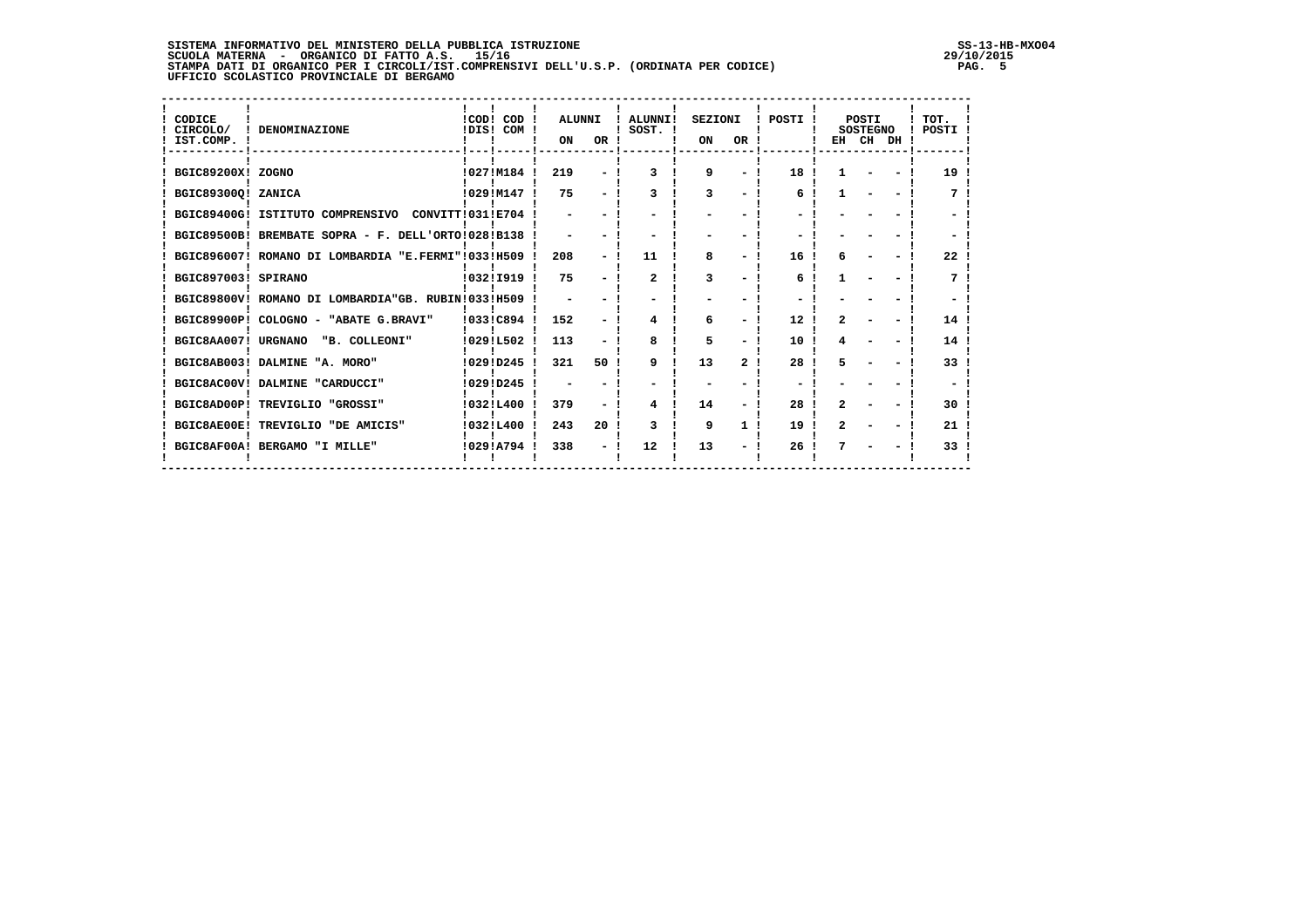**SISTEMA INFORMATIVO DEL MINISTERO DELLA PUBBLICA ISTRUZIONE SS-13-HB-MXO04**SCUOLA MATERNA - ORGANICO DI FATTO A.S. 15/16<br>STAMPA DATI DI ORGANICO PER I CIRCOLI/IST.COMPRENSIVI DELL'U.S.P. (ORDINATA PER CODICE) PAG. 5**PAG. 5**<br>UFFICIO SCOLASTICO PROVINCIALE DI BERGAMO

 $29/10/2015$ <br>PAG. 5

| CODICE<br>CIRCOLO/<br>IST.COMP. | DENOMINAZIONE                                      | !COD! COD !<br>IDIS! COM ! | <b>ALUNNI</b><br>ON      | OR !            | ! ALUNNI!<br>SOST. I | <b>SEZIONI</b><br>ON | OR !                     | POSTI ! |              | POSTI<br><b>SOSTEGNO</b><br>EH CH DH ! | TOT.<br>POSTI |
|---------------------------------|----------------------------------------------------|----------------------------|--------------------------|-----------------|----------------------|----------------------|--------------------------|---------|--------------|----------------------------------------|---------------|
| BGIC89200X! ZOGNO               |                                                    | !027!M184 !                | 219                      |                 | 3                    | 9                    | $\overline{\phantom{0}}$ | 18      |              |                                        | 19            |
| BGIC893000! ZANICA              |                                                    | 1029IM147                  | 75                       |                 |                      | 3                    |                          | 6       |              |                                        |               |
|                                 | BGIC89400G! ISTITUTO COMPRENSIVO CONVITT!031!E704  |                            |                          |                 |                      |                      |                          |         |              |                                        |               |
|                                 | BGIC89500B! BREMBATE SOPRA - F. DELL'ORTO!028!B138 |                            | $\overline{\phantom{0}}$ |                 |                      |                      |                          |         |              |                                        |               |
|                                 | BGIC896007! ROMANO DI LOMBARDIA "E.FERMI"!033!H509 |                            | 208                      |                 | 11                   | 8                    |                          | 16      |              |                                        | 22            |
| BGIC897003! SPIRANO             |                                                    | !032!I919                  | 75                       |                 | $\overline{2}$       |                      |                          | 6       |              |                                        |               |
|                                 | BGIC89800V! ROMANO DI LOMBARDIA"GB. RUBIN!033!H509 |                            |                          |                 |                      |                      |                          |         |              |                                        |               |
|                                 | BGIC89900P! COLOGNO - "ABATE G.BRAVI"              | !033!C894                  | 152                      |                 | 4                    | 6                    | $\overline{\phantom{0}}$ | 12      | 2            |                                        | 14            |
|                                 | BGIC8AA007! URGNANO "B. COLLEONI"                  | 10291L502                  | 113                      |                 | 8                    | 5                    |                          | 10      |              |                                        | 14            |
|                                 | BGIC8AB003! DALMINE "A. MORO"                      | 10291D245                  | 321                      | 50 I            | 9                    | 13                   | 2                        | 28      |              |                                        | 33            |
|                                 | BGIC8AC00V! DALMINE "CARDUCCI"                     | !029!D245                  |                          |                 |                      |                      |                          |         |              |                                        |               |
|                                 | BGIC8AD00P! TREVIGLIO "GROSSI"                     | !032!L400                  | 379                      |                 | 4                    | 14                   |                          | 28      | $\mathbf{r}$ |                                        | 30            |
|                                 | BGIC8AE00E! TREVIGLIO "DE AMICIS"                  | 10321L400                  | 243                      | 20 <sub>1</sub> | 3                    | 9                    | 1                        | 19      | 2            |                                        | 21            |
|                                 | BGIC8AF00A! BERGAMO "I MILLE"                      | 10291A794                  | 338                      |                 | 12                   | 13                   |                          | 26      |              |                                        | 33            |